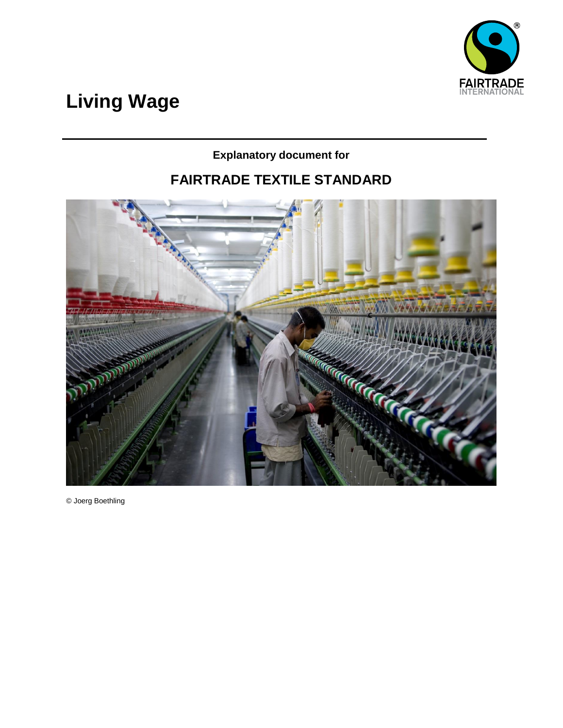

# **Living Wage**

### **Explanatory document for**

# **FAIRTRADE TEXTILE STANDARD**



© Joerg Boethling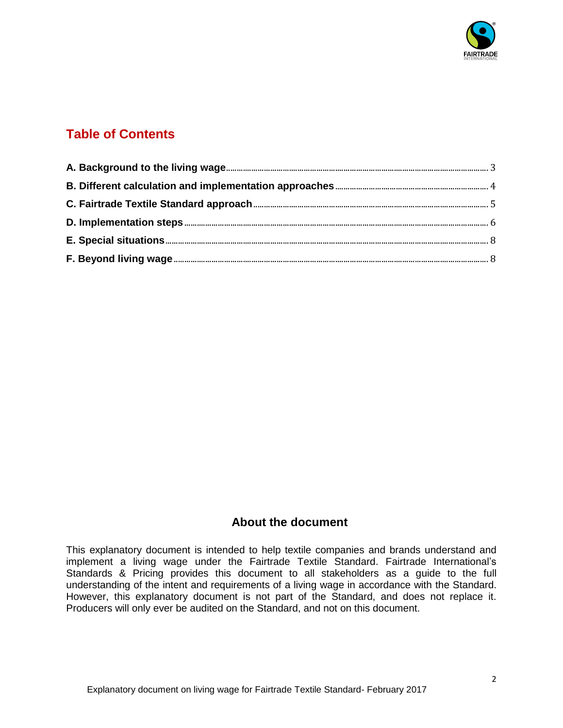

### **Table of Contents**

### **About the document**

This explanatory document is intended to help textile companies and brands understand and implement a living wage under the Fairtrade Textile Standard. Fairtrade International's Standards & Pricing provides this document to all stakeholders as a guide to the full understanding of the intent and requirements of a living wage in accordance with the Standard. However, this explanatory document is not part of the Standard, and does not replace it. Producers will only ever be audited on the Standard, and not on this document.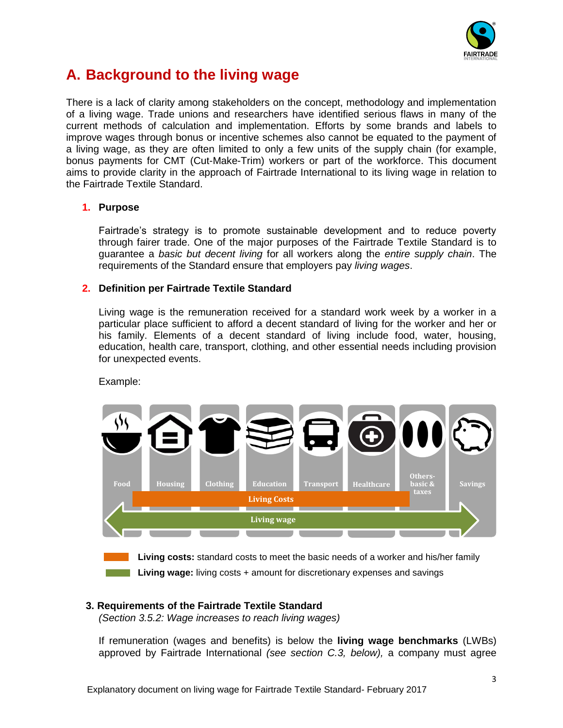

# <span id="page-2-0"></span>**A. Background to the living wage**

There is a lack of clarity among stakeholders on the concept, methodology and implementation of a living wage. Trade unions and researchers have identified serious flaws in many of the current methods of calculation and implementation. Efforts by some brands and labels to improve wages through bonus or incentive schemes also cannot be equated to the payment of a living wage, as they are often limited to only a few units of the supply chain (for example, bonus payments for CMT (Cut-Make-Trim) workers or part of the workforce. This document aims to provide clarity in the approach of Fairtrade International to its living wage in relation to the Fairtrade Textile Standard.

### **1. Purpose**

Fairtrade's strategy is to promote sustainable development and to reduce poverty through fairer trade. One of the major purposes of the Fairtrade Textile Standard is to guarantee a *basic but decent living* for all workers along the *entire supply chain*. The requirements of the Standard ensure that employers pay *living wages*.

### **2. Definition per Fairtrade Textile Standard**

Living wage is the remuneration received for a standard work week by a worker in a particular place sufficient to afford a decent standard of living for the worker and her or his family. Elements of a decent standard of living include food, water, housing, education, health care, transport, clothing, and other essential needs including provision for unexpected events.



Example:

**Living costs:** standard costs to meet the basic needs of a worker and his/her family **Living wage:** living costs + amount for discretionary expenses and savings

### **3. Requirements of the Fairtrade Textile Standard**

*(Section 3.5.2: Wage increases to reach living wages)*

If remuneration (wages and benefits) is below the **living wage benchmarks** (LWBs) approved by Fairtrade International *(see section C.3, below),* a company must agree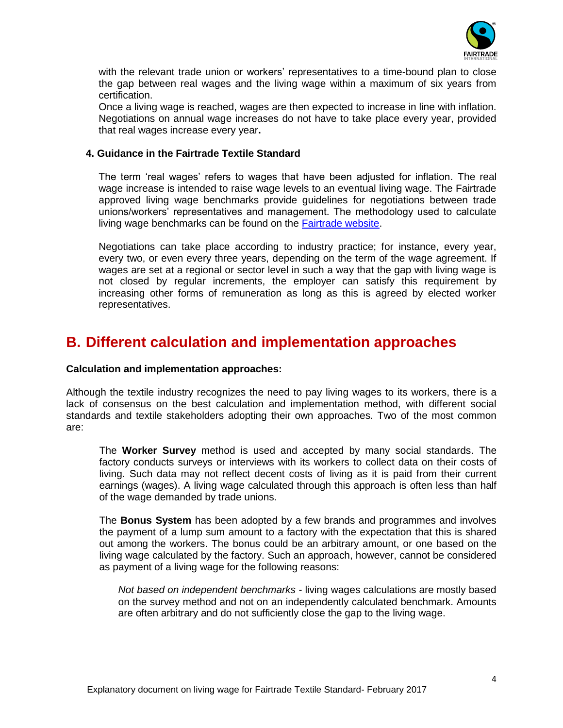

with the relevant trade union or workers' representatives to a time-bound plan to close the gap between real wages and the living wage within a maximum of six years from certification.

Once a living wage is reached, wages are then expected to increase in line with inflation. Negotiations on annual wage increases do not have to take place every year, provided that real wages increase every year**.** 

#### **4. Guidance in the Fairtrade Textile Standard**

The term 'real wages' refers to wages that have been adjusted for inflation. The real wage increase is intended to raise wage levels to an eventual living wage. The Fairtrade approved living wage benchmarks provide guidelines for negotiations between trade unions/workers' representatives and management. The methodology used to calculate living wage benchmarks can be found on the [Fairtrade website.](https://www.fairtrade.net/fileadmin/user_upload/content/2009/standards/documents/GLWC_Anker_Methodology.pdf)

Negotiations can take place according to industry practice; for instance, every year, every two, or even every three years, depending on the term of the wage agreement. If wages are set at a regional or sector level in such a way that the gap with living wage is not closed by regular increments, the employer can satisfy this requirement by increasing other forms of remuneration as long as this is agreed by elected worker representatives.

### <span id="page-3-0"></span>**B. Different calculation and implementation approaches**

#### **Calculation and implementation approaches:**

Although the textile industry recognizes the need to pay living wages to its workers, there is a lack of consensus on the best calculation and implementation method, with different social standards and textile stakeholders adopting their own approaches. Two of the most common are:

The **Worker Survey** method is used and accepted by many social standards. The factory conducts surveys or interviews with its workers to collect data on their costs of living. Such data may not reflect decent costs of living as it is paid from their current earnings (wages). A living wage calculated through this approach is often less than half of the wage demanded by trade unions.

The **Bonus System** has been adopted by a few brands and programmes and involves the payment of a lump sum amount to a factory with the expectation that this is shared out among the workers. The bonus could be an arbitrary amount, or one based on the living wage calculated by the factory. Such an approach, however, cannot be considered as payment of a living wage for the following reasons:

*Not based on independent benchmarks -* living wages calculations are mostly based on the survey method and not on an independently calculated benchmark. Amounts are often arbitrary and do not sufficiently close the gap to the living wage.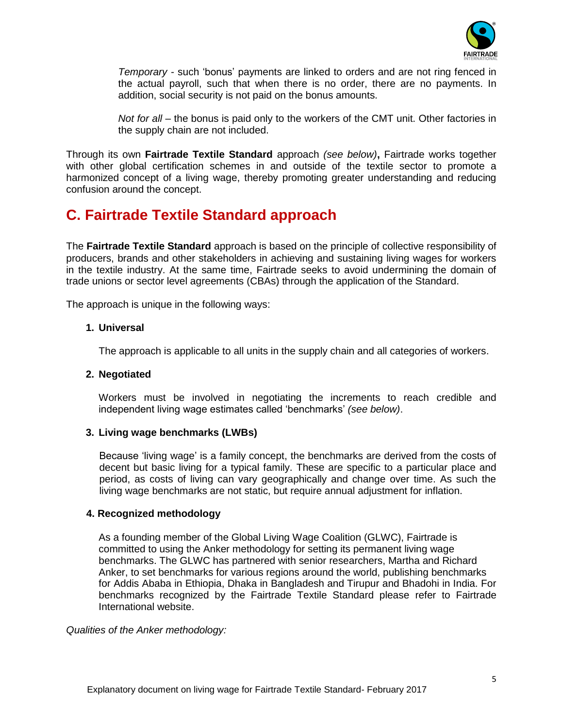

*Temporary -* such 'bonus' payments are linked to orders and are not ring fenced in the actual payroll, such that when there is no order, there are no payments. In addition, social security is not paid on the bonus amounts.

*Not for all –* the bonus is paid only to the workers of the CMT unit. Other factories in the supply chain are not included.

Through its own **Fairtrade Textile Standard** approach *(see below)***,** Fairtrade works together with other global certification schemes in and outside of the textile sector to promote a harmonized concept of a living wage, thereby promoting greater understanding and reducing confusion around the concept.

### <span id="page-4-0"></span>**C. Fairtrade Textile Standard approach**

The **Fairtrade Textile Standard** approach is based on the principle of collective responsibility of producers, brands and other stakeholders in achieving and sustaining living wages for workers in the textile industry. At the same time, Fairtrade seeks to avoid undermining the domain of trade unions or sector level agreements (CBAs) through the application of the Standard.

The approach is unique in the following ways:

#### **1. Universal**

The approach is applicable to all units in the supply chain and all categories of workers.

#### **2. Negotiated**

Workers must be involved in negotiating the increments to reach credible and independent living wage estimates called 'benchmarks' *(see below)*.

### **3. Living wage benchmarks (LWBs)**

Because 'living wage' is a family concept, the benchmarks are derived from the costs of decent but basic living for a typical family. These are specific to a particular place and period, as costs of living can vary geographically and change over time. As such the living wage benchmarks are not static, but require annual adjustment for inflation.

#### **4. Recognized methodology**

As a founding member of the Global Living Wage Coalition (GLWC), Fairtrade is committed to using the Anker methodology for setting its permanent living wage benchmarks. The GLWC has partnered with senior researchers, Martha and Richard Anker, to set benchmarks for various regions around the world, publishing benchmarks for Addis Ababa in Ethiopia, Dhaka in Bangladesh and Tirupur and Bhadohi in India. For benchmarks recognized by the Fairtrade Textile Standard please refer to Fairtrade International website.

*Qualities of the Anker methodology:*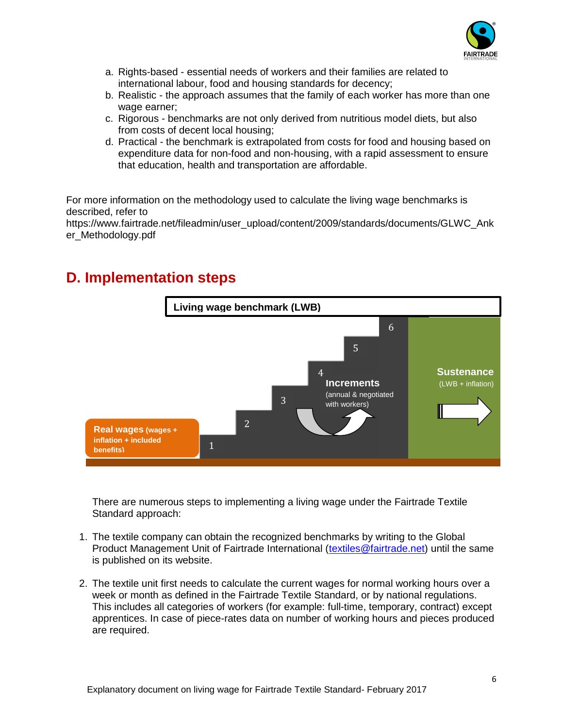

- a. Rights-based essential needs of workers and their families are related to international labour, food and housing standards for decency;
- b. Realistic the approach assumes that the family of each worker has more than one wage earner;
- c. Rigorous benchmarks are not only derived from nutritious model diets, but also from costs of decent local housing;
- d. Practical the benchmark is extrapolated from costs for food and housing based on expenditure data for non-food and non-housing, with a rapid assessment to ensure that education, health and transportation are affordable.

For more information on the methodology used to calculate the living wage benchmarks is described, refer to

https://www.fairtrade.net/fileadmin/user\_upload/content/2009/standards/documents/GLWC\_Ank er\_Methodology.pdf

### **Sustenance Increments** (LWB + inflation) (annual & negotiated with workers) 1 1 2 3  $\overline{\mathcal{A}}$ 5 6 **Real wages (wages + inflation + included benefits) Living wage benchmark (LWB)**

# <span id="page-5-0"></span>**D. Implementation steps**

There are numerous steps to implementing a living wage under the Fairtrade Textile Standard approach:

- 1. The textile company can obtain the recognized benchmarks by writing to the Global Product Management Unit of Fairtrade International [\(textiles@fairtrade.net\)](mailto:textiles@fairtrade.net) until the same is published on its website.
- 2. The textile unit first needs to calculate the current wages for normal working hours over a week or month as defined in the Fairtrade Textile Standard, or by national regulations. This includes all categories of workers (for example: full-time, temporary, contract) except apprentices. In case of piece-rates data on number of working hours and pieces produced are required.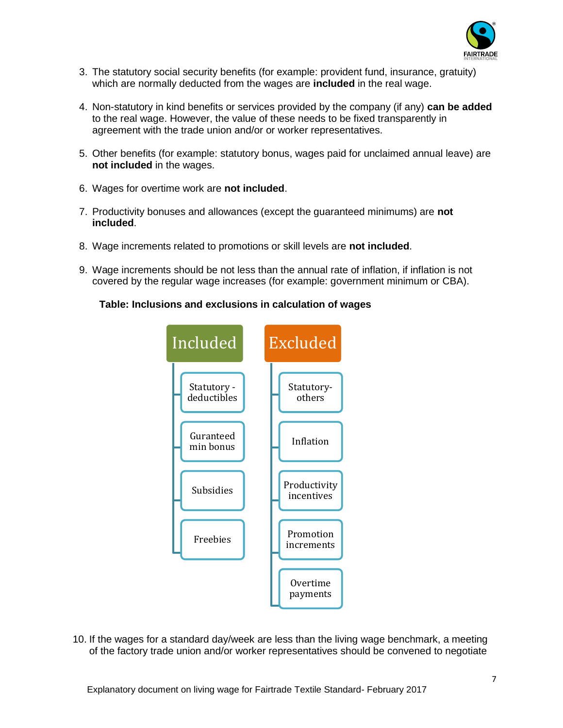

- 3. The statutory social security benefits (for example: provident fund, insurance, gratuity) which are normally deducted from the wages are **included** in the real wage.
- 4. Non-statutory in kind benefits or services provided by the company (if any) **can be added** to the real wage. However, the value of these needs to be fixed transparently in agreement with the trade union and/or or worker representatives.
- 5. Other benefits (for example: statutory bonus, wages paid for unclaimed annual leave) are **not included** in the wages.
- 6. Wages for overtime work are **not included**.
- 7. Productivity bonuses and allowances (except the guaranteed minimums) are **not included**.
- 8. Wage increments related to promotions or skill levels are **not included**.
- 9. Wage increments should be not less than the annual rate of inflation, if inflation is not covered by the regular wage increases (for example: government minimum or CBA).

#### **Table: Inclusions and exclusions in calculation of wages**



10. If the wages for a standard day/week are less than the living wage benchmark, a meeting of the factory trade union and/or worker representatives should be convened to negotiate